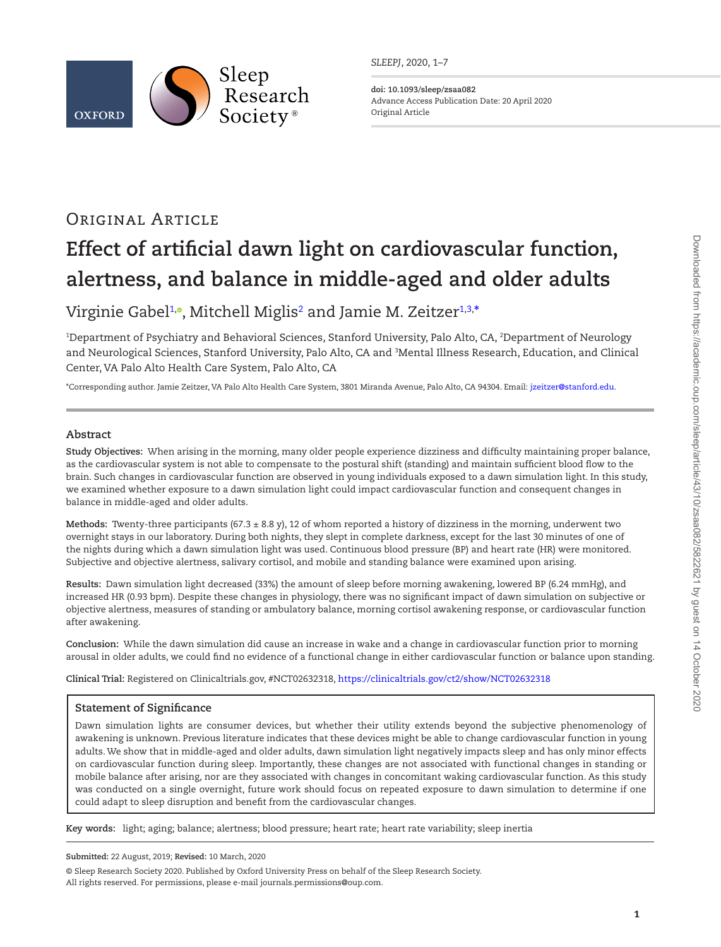

*SLEEPJ*, 2020, 1–7

**doi: 10.1093/sleep/zsaa082** Advance Access Publication Date: 20 April 2020 Original Article

# Original Article

# **Effect of artificial dawn light on cardiovascular function, alertness, and balance in middle-aged and older adults**

# Virginie Gabe[l1](#page-0-0),°, Mitchell Miglis<sup>[2](#page-0-1)</sup> and Jamie M. Zeitzer<sup>[1,](#page-0-0)[3,](#page-0-2)</sup>[\\*](#page-0-3)

<span id="page-0-2"></span><span id="page-0-1"></span><span id="page-0-0"></span>1 Department of Psychiatry and Behavioral Sciences, Stanford University, Palo Alto, CA, 2 Department of Neurology and Neurological Sciences, Stanford University, Palo Alto, CA and 3 Mental Illness Research, Education, and Clinical Center, VA Palo Alto Health Care System, Palo Alto, CA

<span id="page-0-3"></span>\*Corresponding author. Jamie Zeitzer, VA Palo Alto Health Care System, 3801 Miranda Avenue, Palo Alto, CA 94304. Email: [jzeitzer@stanford.edu](mailto:jzeitzer@stanford.edu?subject=).

# **Abstract**

**Study Objectives:** When arising in the morning, many older people experience dizziness and difficulty maintaining proper balance, as the cardiovascular system is not able to compensate to the postural shift (standing) and maintain sufficient blood flow to the brain. Such changes in cardiovascular function are observed in young individuals exposed to a dawn simulation light. In this study, we examined whether exposure to a dawn simulation light could impact cardiovascular function and consequent changes in balance in middle-aged and older adults.

**Methods:** Twenty-three participants (67.3 ± 8.8 y), 12 of whom reported a history of dizziness in the morning, underwent two overnight stays in our laboratory. During both nights, they slept in complete darkness, except for the last 30 minutes of one of the nights during which a dawn simulation light was used. Continuous blood pressure (BP) and heart rate (HR) were monitored. Subjective and objective alertness, salivary cortisol, and mobile and standing balance were examined upon arising.

**Results:** Dawn simulation light decreased (33%) the amount of sleep before morning awakening, lowered BP (6.24 mmHg), and increased HR (0.93 bpm). Despite these changes in physiology, there was no significant impact of dawn simulation on subjective or objective alertness, measures of standing or ambulatory balance, morning cortisol awakening response, or cardiovascular function after awakening.

**Conclusion:** While the dawn simulation did cause an increase in wake and a change in cardiovascular function prior to morning arousal in older adults, we could find no evidence of a functional change in either cardiovascular function or balance upon standing.

**Clinical Trial:** Registered on Clinicaltrials.gov, #NCT02632318,<https://clinicaltrials.gov/ct2/show/NCT02632318>

# **Statement of Significance**

Dawn simulation lights are consumer devices, but whether their utility extends beyond the subjective phenomenology of awakening is unknown. Previous literature indicates that these devices might be able to change cardiovascular function in young adults. We show that in middle-aged and older adults, dawn simulation light negatively impacts sleep and has only minor effects on cardiovascular function during sleep. Importantly, these changes are not associated with functional changes in standing or mobile balance after arising, nor are they associated with changes in concomitant waking cardiovascular function. As this study was conducted on a single overnight, future work should focus on repeated exposure to dawn simulation to determine if one could adapt to sleep disruption and benefit from the cardiovascular changes.

**Key words:** light; aging; balance; alertness; blood pressure; heart rate; heart rate variability; sleep inertia

**Submitted:** 22 August, 2019; **Revised:** 10 March, 2020

<sup>©</sup> Sleep Research Society 2020. Published by Oxford University Press on behalf of the Sleep Research Society. All rights reserved. For permissions, please e-mail journals.permissions@oup.com.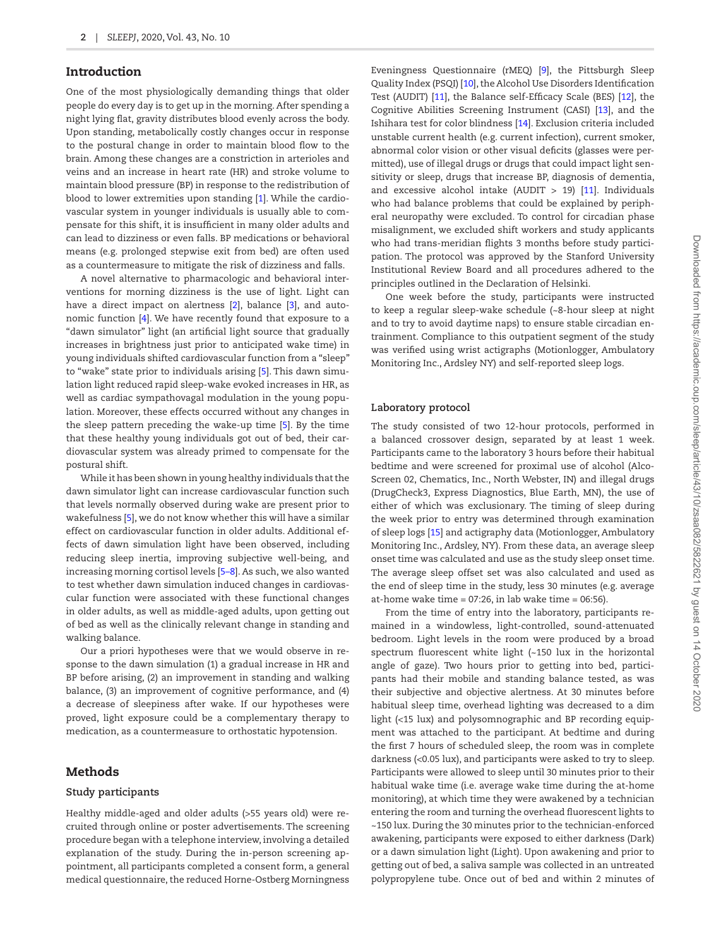# Introduction

One of the most physiologically demanding things that older people do every day is to get up in the morning. After spending a night lying flat, gravity distributes blood evenly across the body. Upon standing, metabolically costly changes occur in response to the postural change in order to maintain blood flow to the brain. Among these changes are a constriction in arterioles and veins and an increase in heart rate (HR) and stroke volume to maintain blood pressure (BP) in response to the redistribution of blood to lower extremities upon standing [\[1\]](#page-5-0). While the cardiovascular system in younger individuals is usually able to compensate for this shift, it is insufficient in many older adults and can lead to dizziness or even falls. BP medications or behavioral means (e.g. prolonged stepwise exit from bed) are often used as a countermeasure to mitigate the risk of dizziness and falls.

A novel alternative to pharmacologic and behavioral interventions for morning dizziness is the use of light. Light can have a direct impact on alertness [\[2](#page-5-1)], balance [\[3](#page-5-2)], and autonomic function [\[4](#page-5-3)]. We have recently found that exposure to a "dawn simulator" light (an artificial light source that gradually increases in brightness just prior to anticipated wake time) in young individuals shifted cardiovascular function from a "sleep" to "wake" state prior to individuals arising [[5](#page-5-4)]. This dawn simulation light reduced rapid sleep-wake evoked increases in HR, as well as cardiac sympathovagal modulation in the young population. Moreover, these effects occurred without any changes in the sleep pattern preceding the wake-up time [\[5\]](#page-5-4). By the time that these healthy young individuals got out of bed, their cardiovascular system was already primed to compensate for the postural shift.

While it has been shown in young healthy individuals that the dawn simulator light can increase cardiovascular function such that levels normally observed during wake are present prior to wakefulness [[5\]](#page-5-4), we do not know whether this will have a similar effect on cardiovascular function in older adults. Additional effects of dawn simulation light have been observed, including reducing sleep inertia, improving subjective well-being, and increasing morning cortisol levels [\[5](#page-5-4)[–8](#page-6-0)]. As such, we also wanted to test whether dawn simulation induced changes in cardiovascular function were associated with these functional changes in older adults, as well as middle-aged adults, upon getting out of bed as well as the clinically relevant change in standing and walking balance.

Our a priori hypotheses were that we would observe in response to the dawn simulation (1) a gradual increase in HR and BP before arising, (2) an improvement in standing and walking balance, (3) an improvement of cognitive performance, and (4) a decrease of sleepiness after wake. If our hypotheses were proved, light exposure could be a complementary therapy to medication, as a countermeasure to orthostatic hypotension.

# Methods

#### **Study participants**

Healthy middle-aged and older adults (>55 years old) were recruited through online or poster advertisements. The screening procedure began with a telephone interview, involving a detailed explanation of the study. During the in-person screening appointment, all participants completed a consent form, a general medical questionnaire, the reduced Horne-Ostberg Morningness

Eveningness Questionnaire (rMEQ) [\[9\]](#page-6-1), the Pittsburgh Sleep Quality Index (PSQI) [[10](#page-6-2)], the Alcohol Use Disorders Identification Test (AUDIT) [\[11](#page-6-3)], the Balance self-Efficacy Scale (BES) [\[12\]](#page-6-4), the Cognitive Abilities Screening Instrument (CASI) [\[13](#page-6-5)], and the Ishihara test for color blindness [\[14](#page-6-6)]. Exclusion criteria included unstable current health (e.g. current infection), current smoker, abnormal color vision or other visual deficits (glasses were permitted), use of illegal drugs or drugs that could impact light sensitivity or sleep, drugs that increase BP, diagnosis of dementia, and excessive alcohol intake (AUDIT  $> 19$ ) [\[11\]](#page-6-3). Individuals who had balance problems that could be explained by peripheral neuropathy were excluded. To control for circadian phase misalignment, we excluded shift workers and study applicants who had trans-meridian flights 3 months before study participation. The protocol was approved by the Stanford University Institutional Review Board and all procedures adhered to the principles outlined in the Declaration of Helsinki.

One week before the study, participants were instructed to keep a regular sleep-wake schedule (~8-hour sleep at night and to try to avoid daytime naps) to ensure stable circadian entrainment. Compliance to this outpatient segment of the study was verified using wrist actigraphs (Motionlogger, Ambulatory Monitoring Inc., Ardsley NY) and self-reported sleep logs.

#### **Laboratory protocol**

The study consisted of two 12-hour protocols, performed in a balanced crossover design, separated by at least 1 week. Participants came to the laboratory 3 hours before their habitual bedtime and were screened for proximal use of alcohol (Alco-Screen 02, Chematics, Inc., North Webster, IN) and illegal drugs (DrugCheck3, Express Diagnostics, Blue Earth, MN), the use of either of which was exclusionary. The timing of sleep during the week prior to entry was determined through examination of sleep logs [[15](#page-6-7)] and actigraphy data (Motionlogger, Ambulatory Monitoring Inc., Ardsley, NY). From these data, an average sleep onset time was calculated and use as the study sleep onset time. The average sleep offset set was also calculated and used as the end of sleep time in the study, less 30 minutes (e.g. average at-home wake time =  $07:26$ , in lab wake time =  $06:56$ ).

From the time of entry into the laboratory, participants remained in a windowless, light-controlled, sound-attenuated bedroom. Light levels in the room were produced by a broad spectrum fluorescent white light (~150 lux in the horizontal angle of gaze). Two hours prior to getting into bed, participants had their mobile and standing balance tested, as was their subjective and objective alertness. At 30 minutes before habitual sleep time, overhead lighting was decreased to a dim light (<15 lux) and polysomnographic and BP recording equipment was attached to the participant. At bedtime and during the first 7 hours of scheduled sleep, the room was in complete darkness (<0.05 lux), and participants were asked to try to sleep. Participants were allowed to sleep until 30 minutes prior to their habitual wake time (i.e. average wake time during the at-home monitoring), at which time they were awakened by a technician entering the room and turning the overhead fluorescent lights to ~150 lux. During the 30 minutes prior to the technician-enforced awakening, participants were exposed to either darkness (Dark) or a dawn simulation light (Light). Upon awakening and prior to getting out of bed, a saliva sample was collected in an untreated polypropylene tube. Once out of bed and within 2 minutes of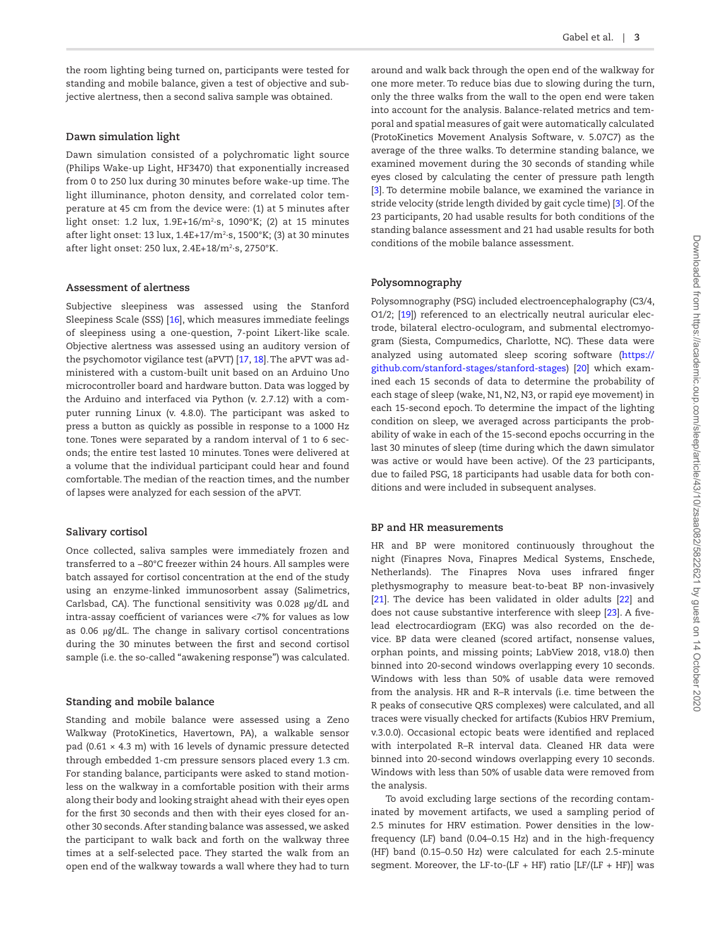the room lighting being turned on, participants were tested for standing and mobile balance, given a test of objective and subjective alertness, then a second saliva sample was obtained.

#### **Dawn simulation light**

Dawn simulation consisted of a polychromatic light source (Philips Wake-up Light, HF3470) that exponentially increased from 0 to 250 lux during 30 minutes before wake-up time. The light illuminance, photon density, and correlated color temperature at 45 cm from the device were: (1) at 5 minutes after light onset: 1.2 lux, 1.9E+16/m2 ∙s, 1090°K; (2) at 15 minutes after light onset: 13 lux, 1.4E+17/m2 ∙s, 1500°K; (3) at 30 minutes after light onset: 250 lux, 2.4E+18/m2 ∙s, 2750°K.

#### **Assessment of alertness**

Subjective sleepiness was assessed using the Stanford Sleepiness Scale (SSS) [[16](#page-6-8)], which measures immediate feelings of sleepiness using a one-question, 7-point Likert-like scale. Objective alertness was assessed using an auditory version of the psychomotor vigilance test (aPVT) [\[17,](#page-6-9) [18\]](#page-6-10). The aPVT was administered with a custom-built unit based on an Arduino Uno microcontroller board and hardware button. Data was logged by the Arduino and interfaced via Python (v. 2.7.12) with a computer running Linux (v. 4.8.0). The participant was asked to press a button as quickly as possible in response to a 1000 Hz tone. Tones were separated by a random interval of 1 to 6 seconds; the entire test lasted 10 minutes. Tones were delivered at a volume that the individual participant could hear and found comfortable. The median of the reaction times, and the number of lapses were analyzed for each session of the aPVT.

#### **Salivary cortisol**

Once collected, saliva samples were immediately frozen and transferred to a −80°C freezer within 24 hours. All samples were batch assayed for cortisol concentration at the end of the study using an enzyme-linked immunosorbent assay (Salimetrics, Carlsbad, CA). The functional sensitivity was 0.028 µg/dL and intra-assay coefficient of variances were <7% for values as low as 0.06 µg/dL. The change in salivary cortisol concentrations during the 30 minutes between the first and second cortisol sample (i.e. the so-called "awakening response") was calculated.

#### **Standing and mobile balance**

Standing and mobile balance were assessed using a Zeno Walkway (ProtoKinetics, Havertown, PA), a walkable sensor pad (0.61  $\times$  4.3 m) with 16 levels of dynamic pressure detected through embedded 1-cm pressure sensors placed every 1.3 cm. For standing balance, participants were asked to stand motionless on the walkway in a comfortable position with their arms along their body and looking straight ahead with their eyes open for the first 30 seconds and then with their eyes closed for another 30 seconds. After standing balance was assessed, we asked the participant to walk back and forth on the walkway three times at a self-selected pace. They started the walk from an open end of the walkway towards a wall where they had to turn around and walk back through the open end of the walkway for one more meter. To reduce bias due to slowing during the turn, only the three walks from the wall to the open end were taken into account for the analysis. Balance-related metrics and temporal and spatial measures of gait were automatically calculated (ProtoKinetics Movement Analysis Software, v. 5.07C7) as the average of the three walks. To determine standing balance, we examined movement during the 30 seconds of standing while eyes closed by calculating the center of pressure path length [\[3](#page-5-2)]. To determine mobile balance, we examined the variance in stride velocity (stride length divided by gait cycle time) [[3\]](#page-5-2). Of the 23 participants, 20 had usable results for both conditions of the standing balance assessment and 21 had usable results for both conditions of the mobile balance assessment.

#### **Polysomnography**

Polysomnography (PSG) included electroencephalography (C3/4, O1/2; [\[19\]](#page-6-11)) referenced to an electrically neutral auricular electrode, bilateral electro-oculogram, and submental electromyogram (Siesta, Compumedics, Charlotte, NC). These data were analyzed using automated sleep scoring software ([https://](https://github.com/stanford-stages/stanford-stages) [github.com/stanford-stages/stanford-stages\)](https://github.com/stanford-stages/stanford-stages) [\[20\]](#page-6-12) which examined each 15 seconds of data to determine the probability of each stage of sleep (wake, N1, N2, N3, or rapid eye movement) in each 15-second epoch. To determine the impact of the lighting condition on sleep, we averaged across participants the probability of wake in each of the 15-second epochs occurring in the last 30 minutes of sleep (time during which the dawn simulator was active or would have been active). Of the 23 participants, due to failed PSG, 18 participants had usable data for both conditions and were included in subsequent analyses.

#### **BP and HR measurements**

HR and BP were monitored continuously throughout the night (Finapres Nova, Finapres Medical Systems, Enschede, Netherlands). The Finapres Nova uses infrared finger plethysmography to measure beat-to-beat BP non-invasively [\[21](#page-6-13)]. The device has been validated in older adults [[22](#page-6-14)] and does not cause substantive interference with sleep [[23\]](#page-6-15). A fivelead electrocardiogram (EKG) was also recorded on the device. BP data were cleaned (scored artifact, nonsense values, orphan points, and missing points; LabView 2018, v18.0) then binned into 20-second windows overlapping every 10 seconds. Windows with less than 50% of usable data were removed from the analysis. HR and R–R intervals (i.e. time between the R peaks of consecutive QRS complexes) were calculated, and all traces were visually checked for artifacts (Kubios HRV Premium, v.3.0.0). Occasional ectopic beats were identified and replaced with interpolated R–R interval data. Cleaned HR data were binned into 20-second windows overlapping every 10 seconds. Windows with less than 50% of usable data were removed from the analysis.

To avoid excluding large sections of the recording contaminated by movement artifacts, we used a sampling period of 2.5 minutes for HRV estimation. Power densities in the lowfrequency (LF) band (0.04–0.15 Hz) and in the high-frequency (HF) band (0.15–0.50 Hz) were calculated for each 2.5-minute segment. Moreover, the LF-to-(LF + HF) ratio  $[LF/(LF + HF)]$  was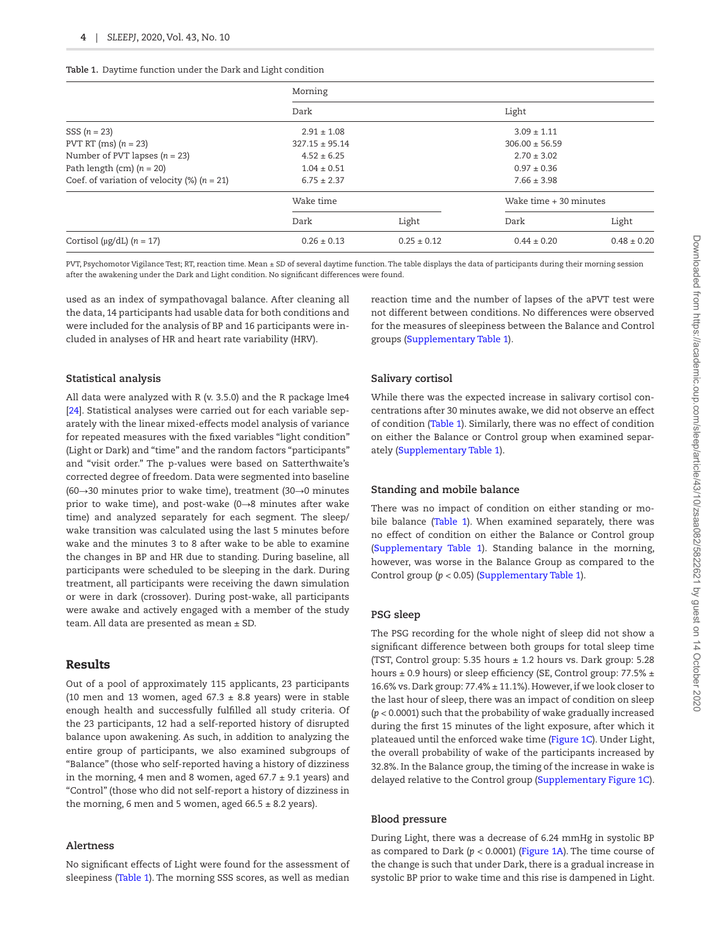<span id="page-3-0"></span>

|  |  |  |  |  |  |  |  | Table 1. Daytime function under the Dark and Light condition |
|--|--|--|--|--|--|--|--|--------------------------------------------------------------|
|--|--|--|--|--|--|--|--|--------------------------------------------------------------|

|                                                    | Morning            |                 |                          |                 |  |  |
|----------------------------------------------------|--------------------|-----------------|--------------------------|-----------------|--|--|
|                                                    | Dark               |                 | Light                    |                 |  |  |
| SSS $(n = 23)$                                     | $2.91 + 1.08$      |                 | $3.09 + 1.11$            |                 |  |  |
| PVT RT (ms) $(n = 23)$                             | $327.15 \pm 95.14$ |                 | $306.00 \pm 56.59$       |                 |  |  |
| Number of PVT lapses $(n = 23)$                    | $4.52 \pm 6.25$    |                 | $2.70 \pm 3.02$          |                 |  |  |
| Path length (cm) $(n = 20)$                        | $1.04 \pm 0.51$    |                 | $0.97 \pm 0.36$          |                 |  |  |
| Coef. of variation of velocity $(\%)$ ( $n = 21$ ) | $6.75 \pm 2.37$    |                 | $7.66 \pm 3.98$          |                 |  |  |
|                                                    | Wake time          |                 | Wake $time + 30$ minutes |                 |  |  |
|                                                    | Dark               | Light           | Dark                     | Light           |  |  |
| Cortisol ( $\mu$ g/dL) (n = 17)                    | $0.26 \pm 0.13$    | $0.25 \pm 0.12$ | $0.44 \pm 0.20$          | $0.48 \pm 0.20$ |  |  |

PVT, Psychomotor Vigilance Test; RT, reaction time. Mean ± *SD* of several daytime function. The table displays the data of participants during their morning session after the awakening under the Dark and Light condition. No significant differences were found.

used as an index of sympathovagal balance. After cleaning all the data, 14 participants had usable data for both conditions and were included for the analysis of BP and 16 participants were included in analyses of HR and heart rate variability (HRV).

#### **Statistical analysis**

All data were analyzed with R (v. 3.5.0) and the R package lme4 [[24](#page-6-16)]. Statistical analyses were carried out for each variable separately with the linear mixed-effects model analysis of variance for repeated measures with the fixed variables "light condition" (Light or Dark) and "time" and the random factors "participants" and "visit order." The p-values were based on Satterthwaite's corrected degree of freedom. Data were segmented into baseline (60→30 minutes prior to wake time), treatment (30→0 minutes prior to wake time), and post-wake (0→8 minutes after wake time) and analyzed separately for each segment. The sleep/ wake transition was calculated using the last 5 minutes before wake and the minutes 3 to 8 after wake to be able to examine the changes in BP and HR due to standing. During baseline, all participants were scheduled to be sleeping in the dark. During treatment, all participants were receiving the dawn simulation or were in dark (crossover). During post-wake, all participants were awake and actively engaged with a member of the study team. All data are presented as mean ± SD.

#### Results

Out of a pool of approximately 115 applicants, 23 participants (10 men and 13 women, aged 67.3  $\pm$  8.8 years) were in stable enough health and successfully fulfilled all study criteria. Of the 23 participants, 12 had a self-reported history of disrupted balance upon awakening. As such, in addition to analyzing the entire group of participants, we also examined subgroups of "Balance" (those who self-reported having a history of dizziness in the morning, 4 men and 8 women, aged  $67.7 \pm 9.1$  years) and "Control" (those who did not self-report a history of dizziness in the morning, 6 men and 5 women, aged  $66.5 \pm 8.2$  years).

#### **Alertness**

No significant effects of Light were found for the assessment of sleepiness [\(Table 1](#page-3-0)). The morning SSS scores, as well as median reaction time and the number of lapses of the aPVT test were not different between conditions. No differences were observed for the measures of sleepiness between the Balance and Control groups [\(Supplementary Table 1](http://academic.oup.com/sleep/article-lookup/doi/10.1093/sleep/zsaa082#supplementary-data)).

#### **Salivary cortisol**

While there was the expected increase in salivary cortisol concentrations after 30 minutes awake, we did not observe an effect of condition ([Table 1](#page-3-0)). Similarly, there was no effect of condition on either the Balance or Control group when examined separately [\(Supplementary Table 1\)](http://academic.oup.com/sleep/article-lookup/doi/10.1093/sleep/zsaa082#supplementary-data).

#### **Standing and mobile balance**

There was no impact of condition on either standing or mobile balance (Table 1). When examined separately, there was no effect of condition on either the Balance or Control group [\(Supplementary Table 1](http://academic.oup.com/sleep/article-lookup/doi/10.1093/sleep/zsaa082#supplementary-data)). Standing balance in the morning, however, was worse in the Balance Group as compared to the Control group (*p* < 0.05) [\(Supplementary Table 1](http://academic.oup.com/sleep/article-lookup/doi/10.1093/sleep/zsaa082#supplementary-data)).

#### **PSG sleep**

The PSG recording for the whole night of sleep did not show a significant difference between both groups for total sleep time (TST, Control group: 5.35 hours  $\pm$  1.2 hours vs. Dark group: 5.28 hours ± 0.9 hours) or sleep efficiency (SE, Control group: 77.5% ± 16.6% vs. Dark group: 77.4% ± 11.1%). However, if we look closer to the last hour of sleep, there was an impact of condition on sleep (*p* < 0.0001) such that the probability of wake gradually increased during the first 15 minutes of the light exposure, after which it plateaued until the enforced wake time ([Figure 1C\)](#page-4-0). Under Light, the overall probability of wake of the participants increased by 32.8%. In the Balance group, the timing of the increase in wake is delayed relative to the Control group [\(Supplementary Figure 1C\)](http://academic.oup.com/sleep/article-lookup/doi/10.1093/sleep/zsaa082#supplementary-data).

#### **Blood pressure**

During Light, there was a decrease of 6.24 mmHg in systolic BP as compared to Dark (*p* < 0.0001) [\(Figure 1A\)](#page-4-0). The time course of the change is such that under Dark, there is a gradual increase in systolic BP prior to wake time and this rise is dampened in Light.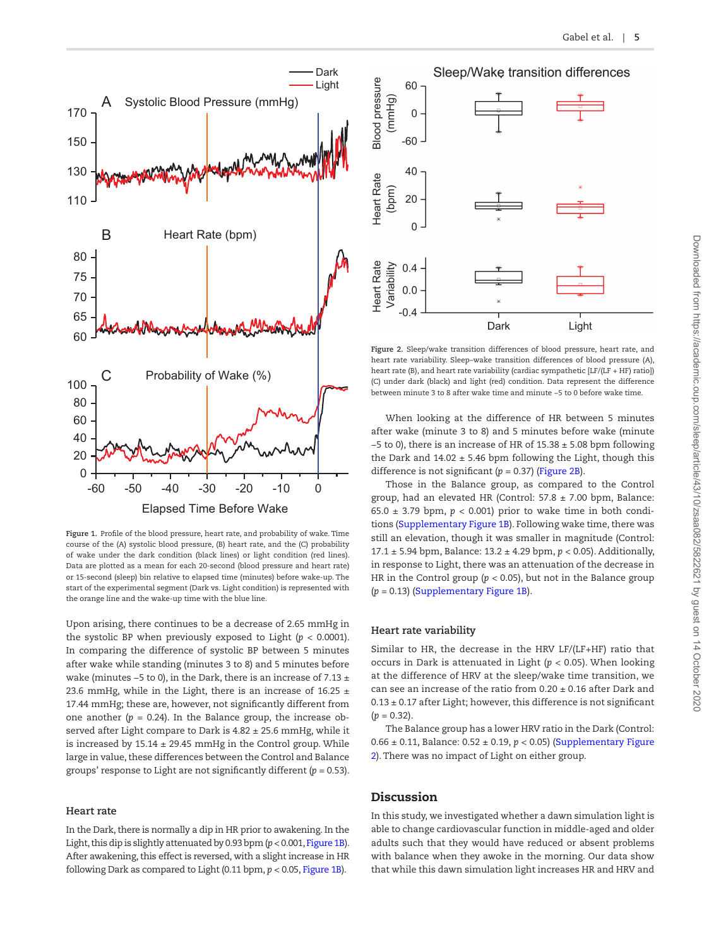

<span id="page-4-0"></span>**Figure 1.** Profile of the blood pressure, heart rate, and probability of wake. Time course of the (A) systolic blood pressure, (B) heart rate, and the (C) probability of wake under the dark condition (black lines) or light condition (red lines). Data are plotted as a mean for each 20-second (blood pressure and heart rate) or 15-second (sleep) bin relative to elapsed time (minutes) before wake-up. The start of the experimental segment (Dark vs. Light condition) is represented with the orange line and the wake-up time with the blue line.

Upon arising, there continues to be a decrease of 2.65 mmHg in the systolic BP when previously exposed to Light  $(p < 0.0001)$ . In comparing the difference of systolic BP between 5 minutes after wake while standing (minutes 3 to 8) and 5 minutes before wake (minutes −5 to 0), in the Dark, there is an increase of 7.13 ± 23.6 mmHg, while in the Light, there is an increase of 16.25  $\pm$ 17.44 mmHg; these are, however, not significantly different from one another  $(p = 0.24)$ . In the Balance group, the increase observed after Light compare to Dark is 4.82 ± 25.6 mmHg, while it is increased by  $15.14 \pm 29.45$  mmHg in the Control group. While large in value, these differences between the Control and Balance groups' response to Light are not significantly different (*p* = 0.53).

#### **Heart rate**

In the Dark, there is normally a dip in HR prior to awakening. In the Light, this dip is slightly attenuated by 0.93 bpm (*p* < 0.001, [Figure 1B\)](#page-4-0). After awakening, this effect is reversed, with a slight increase in HR following Dark as compared to Light (0.11 bpm, *p* < 0.05, [Figure 1B](#page-4-0)).

Sleep/Wake transition differences



<span id="page-4-1"></span>**Figure 2.** Sleep/wake transition differences of blood pressure, heart rate, and heart rate variability. Sleep–wake transition differences of blood pressure (A), heart rate (B), and heart rate variability (cardiac sympathetic [LF/(LF + HF) ratio]) (C) under dark (black) and light (red) condition. Data represent the difference between minute 3 to 8 after wake time and minute −5 to 0 before wake time.

When looking at the difference of HR between 5 minutes after wake (minute 3 to 8) and 5 minutes before wake (minute −5 to 0), there is an increase of HR of 15.38 ± 5.08 bpm following the Dark and  $14.02 \pm 5.46$  bpm following the Light, though this difference is not significant (*p* = 0.37) ([Figure 2B](#page-4-1)).

Those in the Balance group, as compared to the Control group, had an elevated HR (Control:  $57.8 \pm 7.00$  bpm, Balance: 65.0  $\pm$  3.79 bpm,  $p < 0.001$ ) prior to wake time in both conditions [\(Supplementary Figure 1B\)](http://academic.oup.com/sleep/article-lookup/doi/10.1093/sleep/zsaa082#supplementary-data). Following wake time, there was still an elevation, though it was smaller in magnitude (Control: 17.1 ± 5.94 bpm, Balance: 13.2 ± 4.29 bpm, *p* < 0.05). Additionally, in response to Light, there was an attenuation of the decrease in HR in the Control group ( $p < 0.05$ ), but not in the Balance group (*p* = 0.13) [\(Supplementary Figure 1B\)](http://academic.oup.com/sleep/article-lookup/doi/10.1093/sleep/zsaa082#supplementary-data).

#### **Heart rate variability**

Similar to HR, the decrease in the HRV LF/(LF+HF) ratio that occurs in Dark is attenuated in Light (*p* < 0.05). When looking at the difference of HRV at the sleep/wake time transition, we can see an increase of the ratio from  $0.20 \pm 0.16$  after Dark and  $0.13 \pm 0.17$  after Light; however, this difference is not significant  $(p = 0.32)$ .

The Balance group has a lower HRV ratio in the Dark (Control: 0.66 ± 0.11, Balance: 0.52 ± 0.19, *p* < 0.05) [\(Supplementary Figure](http://academic.oup.com/sleep/article-lookup/doi/10.1093/sleep/zsaa082#supplementary-data)  [2\)](http://academic.oup.com/sleep/article-lookup/doi/10.1093/sleep/zsaa082#supplementary-data). There was no impact of Light on either group.

# Discussion

In this study, we investigated whether a dawn simulation light is able to change cardiovascular function in middle-aged and older adults such that they would have reduced or absent problems with balance when they awoke in the morning. Our data show that while this dawn simulation light increases HR and HRV and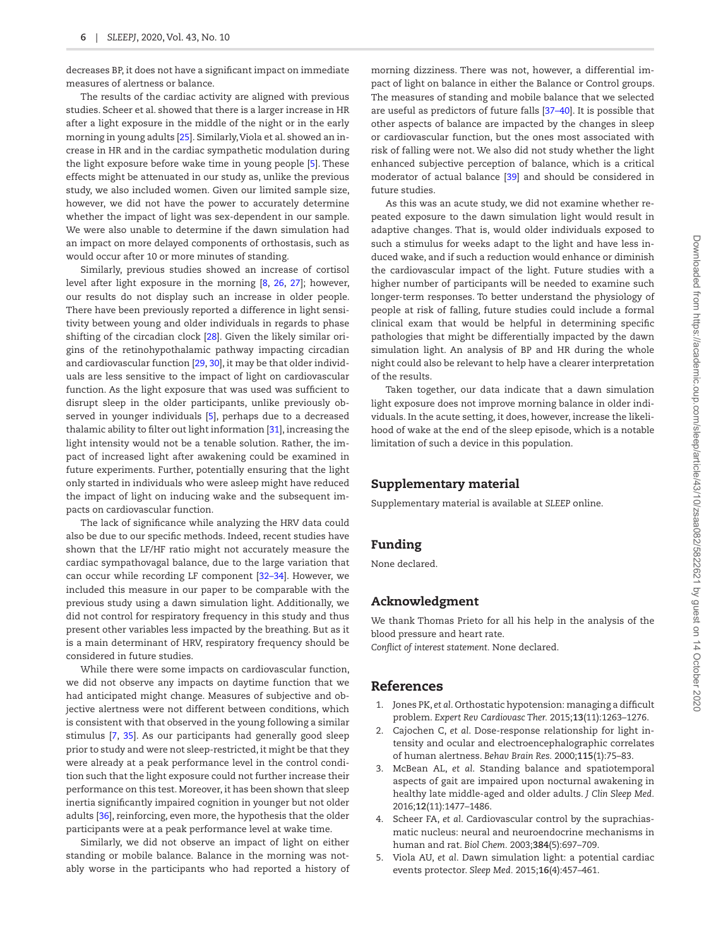decreases BP, it does not have a significant impact on immediate measures of alertness or balance.

The results of the cardiac activity are aligned with previous studies. Scheer et al. showed that there is a larger increase in HR after a light exposure in the middle of the night or in the early morning in young adults [\[25\]](#page-6-17). Similarly, Viola et al. showed an increase in HR and in the cardiac sympathetic modulation during the light exposure before wake time in young people [\[5](#page-5-4)]. These effects might be attenuated in our study as, unlike the previous study, we also included women. Given our limited sample size, however, we did not have the power to accurately determine whether the impact of light was sex-dependent in our sample. We were also unable to determine if the dawn simulation had an impact on more delayed components of orthostasis, such as would occur after 10 or more minutes of standing.

Similarly, previous studies showed an increase of cortisol level after light exposure in the morning [[8](#page-6-0), [26,](#page-6-18) [27](#page-6-19)]; however, our results do not display such an increase in older people. There have been previously reported a difference in light sensitivity between young and older individuals in regards to phase shifting of the circadian clock [[28](#page-6-20)]. Given the likely similar origins of the retinohypothalamic pathway impacting circadian and cardiovascular function [\[29](#page-6-21), [30](#page-6-22)], it may be that older individuals are less sensitive to the impact of light on cardiovascular function. As the light exposure that was used was sufficient to disrupt sleep in the older participants, unlike previously observed in younger individuals [\[5](#page-5-4)], perhaps due to a decreased thalamic ability to filter out light information [[31\]](#page-6-23), increasing the light intensity would not be a tenable solution. Rather, the impact of increased light after awakening could be examined in future experiments. Further, potentially ensuring that the light only started in individuals who were asleep might have reduced the impact of light on inducing wake and the subsequent impacts on cardiovascular function.

The lack of significance while analyzing the HRV data could also be due to our specific methods. Indeed, recent studies have shown that the LF/HF ratio might not accurately measure the cardiac sympathovagal balance, due to the large variation that can occur while recording LF component [\[32–](#page-6-24)[34\]](#page-6-25). However, we included this measure in our paper to be comparable with the previous study using a dawn simulation light. Additionally, we did not control for respiratory frequency in this study and thus present other variables less impacted by the breathing. But as it is a main determinant of HRV, respiratory frequency should be considered in future studies.

While there were some impacts on cardiovascular function, we did not observe any impacts on daytime function that we had anticipated might change. Measures of subjective and objective alertness were not different between conditions, which is consistent with that observed in the young following a similar stimulus [[7,](#page-6-26) [35](#page-6-27)]. As our participants had generally good sleep prior to study and were not sleep-restricted, it might be that they were already at a peak performance level in the control condition such that the light exposure could not further increase their performance on this test. Moreover, it has been shown that sleep inertia significantly impaired cognition in younger but not older adults [[36](#page-6-28)], reinforcing, even more, the hypothesis that the older participants were at a peak performance level at wake time.

Similarly, we did not observe an impact of light on either standing or mobile balance. Balance in the morning was notably worse in the participants who had reported a history of morning dizziness. There was not, however, a differential impact of light on balance in either the Balance or Control groups. The measures of standing and mobile balance that we selected are useful as predictors of future falls [\[37](#page-6-29)[–40\]](#page-6-30). It is possible that other aspects of balance are impacted by the changes in sleep or cardiovascular function, but the ones most associated with risk of falling were not. We also did not study whether the light enhanced subjective perception of balance, which is a critical moderator of actual balance [[39](#page-6-31)] and should be considered in future studies.

As this was an acute study, we did not examine whether repeated exposure to the dawn simulation light would result in adaptive changes. That is, would older individuals exposed to such a stimulus for weeks adapt to the light and have less induced wake, and if such a reduction would enhance or diminish the cardiovascular impact of the light. Future studies with a higher number of participants will be needed to examine such longer-term responses. To better understand the physiology of people at risk of falling, future studies could include a formal clinical exam that would be helpful in determining specific pathologies that might be differentially impacted by the dawn simulation light. An analysis of BP and HR during the whole night could also be relevant to help have a clearer interpretation of the results.

Taken together, our data indicate that a dawn simulation light exposure does not improve morning balance in older individuals. In the acute setting, it does, however, increase the likelihood of wake at the end of the sleep episode, which is a notable limitation of such a device in this population.

## Supplementary material

Supplementary material is available at *SLEEP* online.

# Funding

None declared.

# Acknowledgment

We thank Thomas Prieto for all his help in the analysis of the blood pressure and heart rate.

*Conflict of interest statement.* None declared.

# References

- <span id="page-5-0"></span>1. Jones PK, *et al*. Orthostatic hypotension: managing a difficult problem. *Expert Rev Cardiovasc Ther.* 2015;**13**(11):1263–1276.
- <span id="page-5-1"></span>2. Cajochen C, *et al*. Dose-response relationship for light intensity and ocular and electroencephalographic correlates of human alertness. *Behav Brain Res.* 2000;**115**(1):75–83.
- <span id="page-5-2"></span>3. McBean AL, *et al*. Standing balance and spatiotemporal aspects of gait are impaired upon nocturnal awakening in healthy late middle-aged and older adults. *J Clin Sleep Med.* 2016;**12**(11):1477–1486.
- <span id="page-5-3"></span>4. Scheer FA, *et al*. Cardiovascular control by the suprachiasmatic nucleus: neural and neuroendocrine mechanisms in human and rat. *Biol Chem.* 2003;**384**(5):697–709.
- <span id="page-5-4"></span>5. Viola AU, *et al*. Dawn simulation light: a potential cardiac events protector. *Sleep Med.* 2015;**16**(4):457–461.